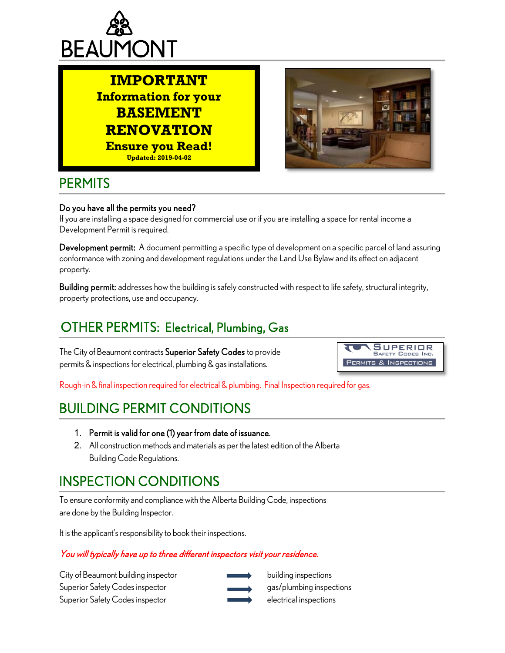





#### **PERMITS**

ׇ֬֕

#### Do you have all the permits you need?

If you are installing a space designed for commercial use or if you are installing a space for rental income a Development Permit is required.

Development permit: A document permitting a specific type of development on a specific parcel of land assuring conformance with zoning and development regulations under the Land Use Bylaw and its effect on adjacent property.

Building permit: addresses how the building is safely constructed with respect to life safety, structural integrity, property protections, use and occupancy.

# OTHER PERMITS: Electrical, Plumbing, Gas

The City of Beaumont contracts Superior Safety Codes to provide permits & inspections for electrical, plumbing & gas installations.



Rough-in & final inspection required for electrical & plumbing. Final Inspection required for gas.

# BUILDING PERMIT CONDITIONS

- 1. Permit is valid for one (1) year from date of issuance.
- 2. All construction methods and materials as per the latest edition of the Alberta Building Code Regulations.

# INSPECTION CONDITIONS

To ensure conformity and compliance with the Alberta Building Code, inspections are done by the Building Inspector.

It is the applicant's responsibility to book their inspections.

#### You will typically have up to three different inspectors visit your residence.

City of Beaumont building inspector building inspections Superior Safety Codes inspector and gas/plumbing inspections Superior Safety Codes inspector electrical inspections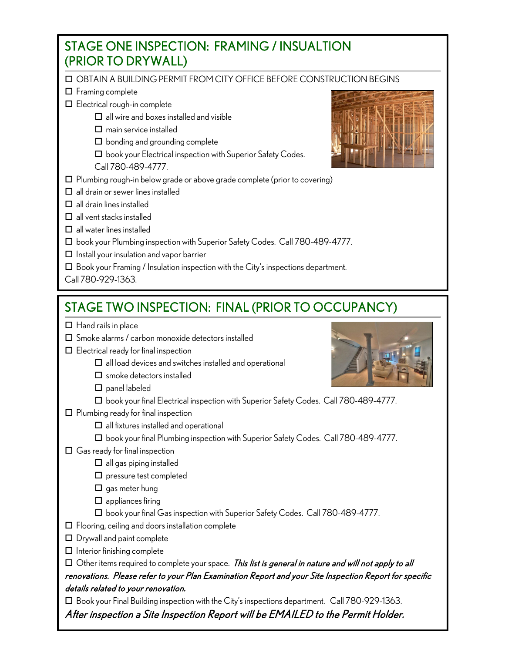#### STAGE ONE INSPECTION: FRAMING / INSUALTION (PRIOR TO DRYWALL)

OBTAIN A BUILDING PERMIT FROM CITY OFFICE BEFORE CONSTRUCTION BEGINS

- HODTAIN A BUILDII<br>1 Framing complete
- Electrical rough-in complete
	- $\Box$  all wire and boxes installed and visible
	- $\square$  main service installed
	- $\Box$  bonding and grounding complete
	- $\square$  book your Electrical inspection with Superior Safety Codes. Call 780-489-4777.
- $\square$  Plumbing rough-in below grade or above grade complete (prior to covering)
- $\Box$  all drain or sewer lines installed
- $\square$  all drain lines installed
- $\Box$  all vent stacks installed
- $\Box$  all water lines installed
- □ book your Plumbing inspection with Superior Safety Codes. Call 780-489-4777.
- $\Box$  Install your insulation and vapor barrier
- $\Box$  Book your Framing / Insulation inspection with the City's inspections department.
- Call 780-929-1363.

ֺ

## STAGE TWO INSPECTION: FINAL (PRIOR TO OCCUPANCY)

- $\Box$  Hand rails in place
- $\square$  Smoke alarms / carbon monoxide detectors installed
- $\square$  Electrical ready for final inspection
	- $\square$  all load devices and switches installed and operational
	- $\square$  smoke detectors installed
	- $\square$  panel labeled
	- □ book your final Electrical inspection with Superior Safety Codes. Call 780-489-4777.
- $\square$  Plumbing ready for final inspection
	- $\square$  all fixtures installed and operational
	- □ book your final Plumbing inspection with Superior Safety Codes. Call 780-489-4777.
- $\Box$  Gas ready for final inspection
	- $\Box$  all gas piping installed
	- $\square$  pressure test completed
	- $\square$  gas meter hung
	- $\square$  appliances firing
	- □ book your final Gas inspection with Superior Safety Codes. Call 780-489-4777.
- $\square$  Flooring, ceiling and doors installation complete
- Drywall and paint complete
- $\Box$  Interior finishing complete

 $\Box$  Other items required to complete your space. This list is general in nature and will not apply to all renovations. Please refer to your Plan Examination Report and your Site Inspection Report for specific details related to your renovation.

Book your Final Building inspection with the City's inspections department. Call 780-929-1363.

After inspection a Site Inspection Report will be EMAILED to the Permit Holder.